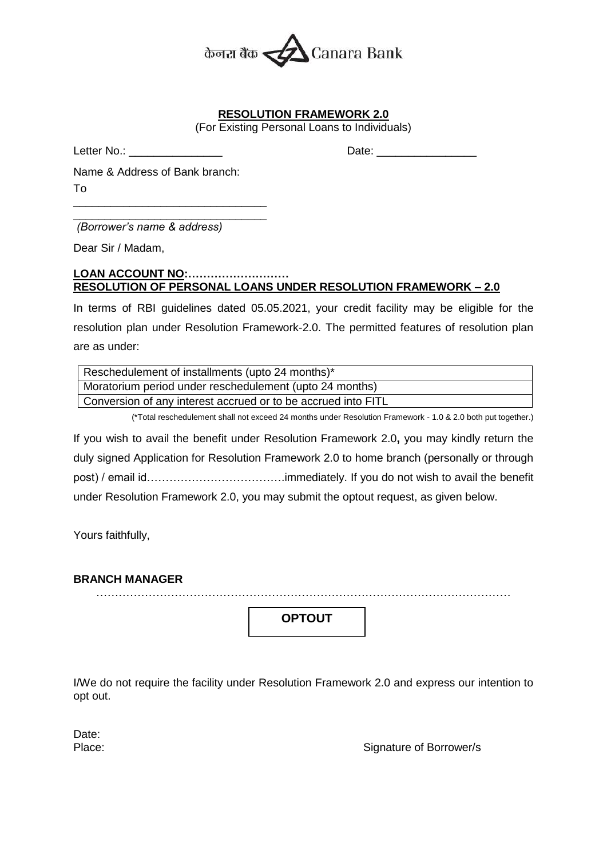

## **RESOLUTION FRAMEWORK 2.0**

(For Existing Personal Loans to Individuals)

Letter No.: **Letter No.: Date:**  $\Box$ 

Name & Address of Bank branch: To \_\_\_\_\_\_\_\_\_\_\_\_\_\_\_\_\_\_\_\_\_\_\_\_\_\_\_\_\_\_\_

\_\_\_\_\_\_\_\_\_\_\_\_\_\_\_\_\_\_\_\_\_\_\_\_\_\_\_\_\_\_\_ *(Borrower's name & address)*

Dear Sir / Madam,

## **LOAN ACCOUNT NO:……………………… RESOLUTION OF PERSONAL LOANS UNDER RESOLUTION FRAMEWORK – 2.0**

In terms of RBI guidelines dated 05.05.2021, your credit facility may be eligible for the resolution plan under Resolution Framework-2.0. The permitted features of resolution plan are as under:

| Reschedulement of installments (upto 24 months)*              |
|---------------------------------------------------------------|
| Moratorium period under reschedulement (upto 24 months)       |
| Conversion of any interest accrued or to be accrued into FITL |

(\*Total reschedulement shall not exceed 24 months under Resolution Framework - 1.0 & 2.0 both put together.)

If you wish to avail the benefit under Resolution Framework 2.0**,** you may kindly return the duly signed Application for Resolution Framework 2.0 to home branch (personally or through post) / email id……………………………….immediately. If you do not wish to avail the benefit under Resolution Framework 2.0, you may submit the optout request, as given below.

Yours faithfully,

## **BRANCH MANAGER**

…………………………………………………………………………………………………

**OPTOUT**

I/We do not require the facility under Resolution Framework 2.0 and express our intention to opt out.

Date:

Place: Place: Signature of Borrower/s